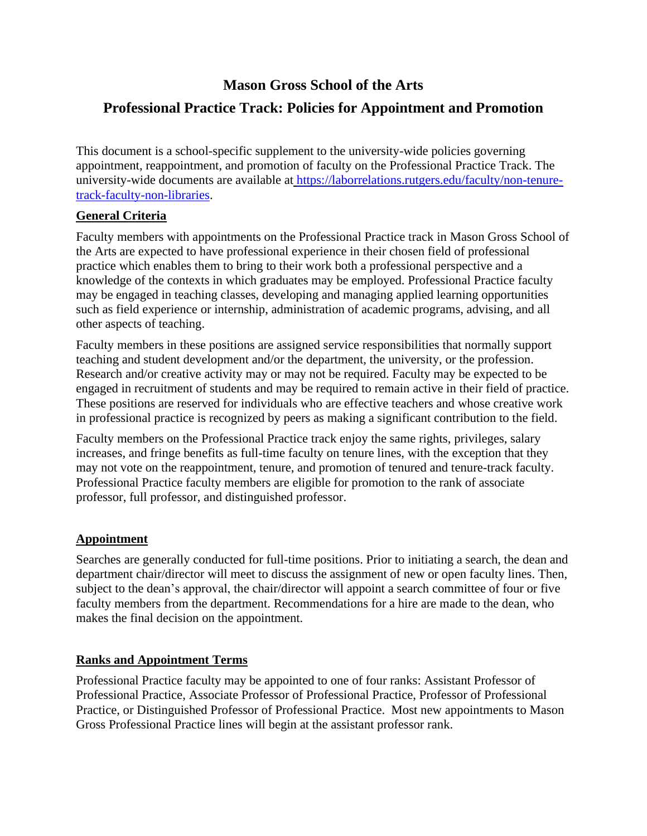# **Mason Gross School of the Arts**

# **Professional Practice Track: Policies for Appointment and Promotion**

This document is a school-specific supplement to the university-wide policies governing appointment, reappointment, and promotion of faculty on the Professional Practice Track. The university-wide documents are available at [https://laborrelations.rutgers.edu/faculty/non-tenure](https://laborrelations.rutgers.edu/faculty/non-tenure-track-faculty-non-libraries)[track-faculty-non-libraries.](https://laborrelations.rutgers.edu/faculty/non-tenure-track-faculty-non-libraries)

# **General Criteria**

Faculty members with appointments on the Professional Practice track in Mason Gross School of the Arts are expected to have professional experience in their chosen field of professional practice which enables them to bring to their work both a professional perspective and a knowledge of the contexts in which graduates may be employed. Professional Practice faculty may be engaged in teaching classes, developing and managing applied learning opportunities such as field experience or internship, administration of academic programs, advising, and all other aspects of teaching.

Faculty members in these positions are assigned service responsibilities that normally support teaching and student development and/or the department, the university, or the profession. Research and/or creative activity may or may not be required. Faculty may be expected to be engaged in recruitment of students and may be required to remain active in their field of practice. These positions are reserved for individuals who are effective teachers and whose creative work in professional practice is recognized by peers as making a significant contribution to the field.

Faculty members on the Professional Practice track enjoy the same rights, privileges, salary increases, and fringe benefits as full-time faculty on tenure lines, with the exception that they may not vote on the reappointment, tenure, and promotion of tenured and tenure-track faculty. Professional Practice faculty members are eligible for promotion to the rank of associate professor, full professor, and distinguished professor.

# **Appointment**

Searches are generally conducted for full-time positions. Prior to initiating a search, the dean and department chair/director will meet to discuss the assignment of new or open faculty lines. Then, subject to the dean's approval, the chair/director will appoint a search committee of four or five faculty members from the department. Recommendations for a hire are made to the dean, who makes the final decision on the appointment.

# **Ranks and Appointment Terms**

Professional Practice faculty may be appointed to one of four ranks: Assistant Professor of Professional Practice, Associate Professor of Professional Practice, Professor of Professional Practice, or Distinguished Professor of Professional Practice. Most new appointments to Mason Gross Professional Practice lines will begin at the assistant professor rank.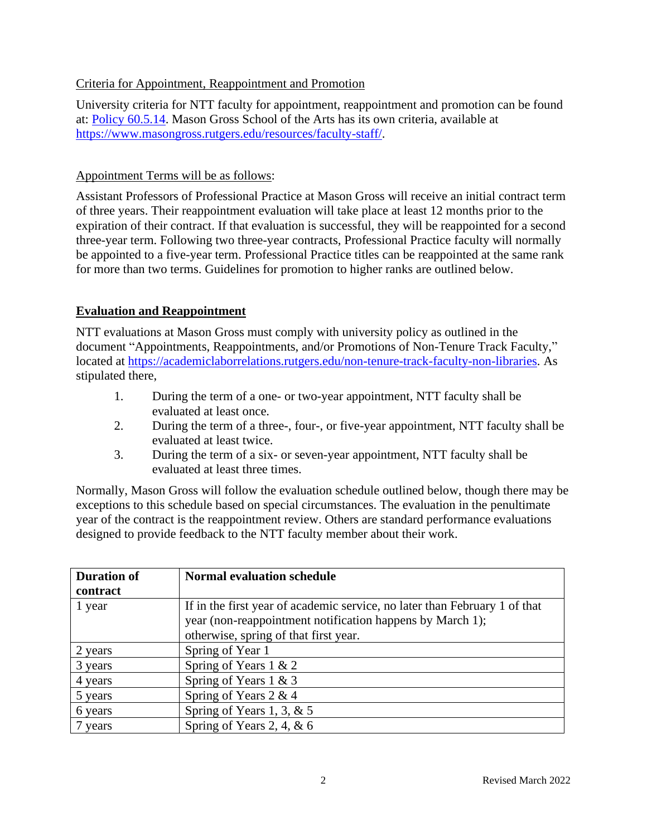### Criteria for Appointment, Reappointment and Promotion

University criteria for NTT faculty for appointment, reappointment and promotion can be found at: [Policy 60.5.14.](http://policies.rutgers.edu/view-policies/human-resources-hr-%E2%80%93-section-60#5) Mason Gross School of the Arts has its own criteria, available at [https://www.masongross.rutgers.edu/resources/faculty-staff/.](https://www.masongross.rutgers.edu/resources/faculty-staff/)

### Appointment Terms will be as follows:

Assistant Professors of Professional Practice at Mason Gross will receive an initial contract term of three years. Their reappointment evaluation will take place at least 12 months prior to the expiration of their contract. If that evaluation is successful, they will be reappointed for a second three-year term. Following two three-year contracts, Professional Practice faculty will normally be appointed to a five-year term. Professional Practice titles can be reappointed at the same rank for more than two terms. Guidelines for promotion to higher ranks are outlined below.

# **Evaluation and Reappointment**

NTT evaluations at Mason Gross must comply with university policy as outlined in the document "Appointments, Reappointments, and/or Promotions of Non-Tenure Track Faculty," located at [https://academiclaborrelations.rutgers.edu/non-tenure-track-faculty-non-libraries.](https://academiclaborrelations.rutgers.edu/non-tenure-track-faculty-non-libraries) As stipulated there,

- 1. During the term of a one- or two-year appointment, NTT faculty shall be evaluated at least once.
- 2. During the term of a three-, four-, or five-year appointment, NTT faculty shall be evaluated at least twice.
- 3. During the term of a six- or seven-year appointment, NTT faculty shall be evaluated at least three times.

Normally, Mason Gross will follow the evaluation schedule outlined below, though there may be exceptions to this schedule based on special circumstances. The evaluation in the penultimate year of the contract is the reappointment review. Others are standard performance evaluations designed to provide feedback to the NTT faculty member about their work.

| <b>Duration of</b> | <b>Normal evaluation schedule</b>                                          |
|--------------------|----------------------------------------------------------------------------|
| contract           |                                                                            |
| 1 year             | If in the first year of academic service, no later than February 1 of that |
|                    | year (non-reappointment notification happens by March 1);                  |
|                    | otherwise, spring of that first year.                                      |
| 2 years            | Spring of Year 1                                                           |
| 3 years            | Spring of Years $1 \& 2$                                                   |
| 4 years            | Spring of Years $1 \& 3$                                                   |
| 5 years            | Spring of Years 2 & 4                                                      |
| 6 years            | Spring of Years 1, 3, $& 5$                                                |
| 7 years            | Spring of Years 2, 4, $& 6$                                                |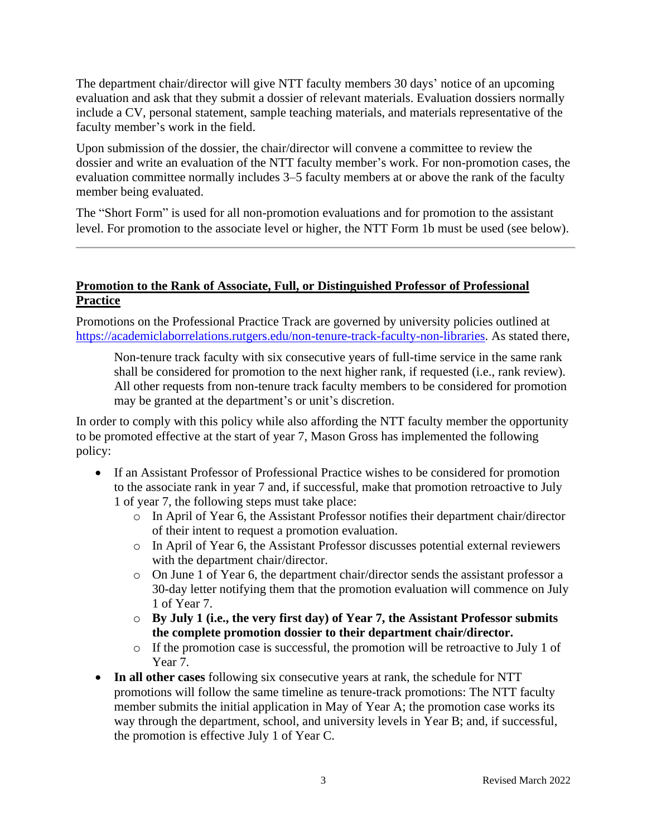The department chair/director will give NTT faculty members 30 days' notice of an upcoming evaluation and ask that they submit a dossier of relevant materials. Evaluation dossiers normally include a CV, personal statement, sample teaching materials, and materials representative of the faculty member's work in the field.

Upon submission of the dossier, the chair/director will convene a committee to review the dossier and write an evaluation of the NTT faculty member's work. For non-promotion cases, the evaluation committee normally includes 3–5 faculty members at or above the rank of the faculty member being evaluated.

The "Short Form" is used for all non-promotion evaluations and for promotion to the assistant level. For promotion to the associate level or higher, the NTT Form 1b must be used (see below).

### **Promotion to the Rank of Associate, Full, or Distinguished Professor of Professional Practice**

Promotions on the Professional Practice Track are governed by university policies outlined at [https://academiclaborrelations.rutgers.edu/non-tenure-track-faculty-non-libraries.](https://academiclaborrelations.rutgers.edu/non-tenure-track-faculty-non-libraries) As stated there,

Non-tenure track faculty with six consecutive years of full-time service in the same rank shall be considered for promotion to the next higher rank, if requested (i.e., rank review). All other requests from non-tenure track faculty members to be considered for promotion may be granted at the department's or unit's discretion.

In order to comply with this policy while also affording the NTT faculty member the opportunity to be promoted effective at the start of year 7, Mason Gross has implemented the following policy:

- If an Assistant Professor of Professional Practice wishes to be considered for promotion to the associate rank in year 7 and, if successful, make that promotion retroactive to July 1 of year 7, the following steps must take place:
	- o In April of Year 6, the Assistant Professor notifies their department chair/director of their intent to request a promotion evaluation.
	- o In April of Year 6, the Assistant Professor discusses potential external reviewers with the department chair/director.
	- o On June 1 of Year 6, the department chair/director sends the assistant professor a 30-day letter notifying them that the promotion evaluation will commence on July 1 of Year 7.
	- o **By July 1 (i.e., the very first day) of Year 7, the Assistant Professor submits the complete promotion dossier to their department chair/director.**
	- o If the promotion case is successful, the promotion will be retroactive to July 1 of Year 7.
- **In all other cases** following six consecutive years at rank, the schedule for NTT promotions will follow the same timeline as tenure-track promotions: The NTT faculty member submits the initial application in May of Year A; the promotion case works its way through the department, school, and university levels in Year B; and, if successful, the promotion is effective July 1 of Year C.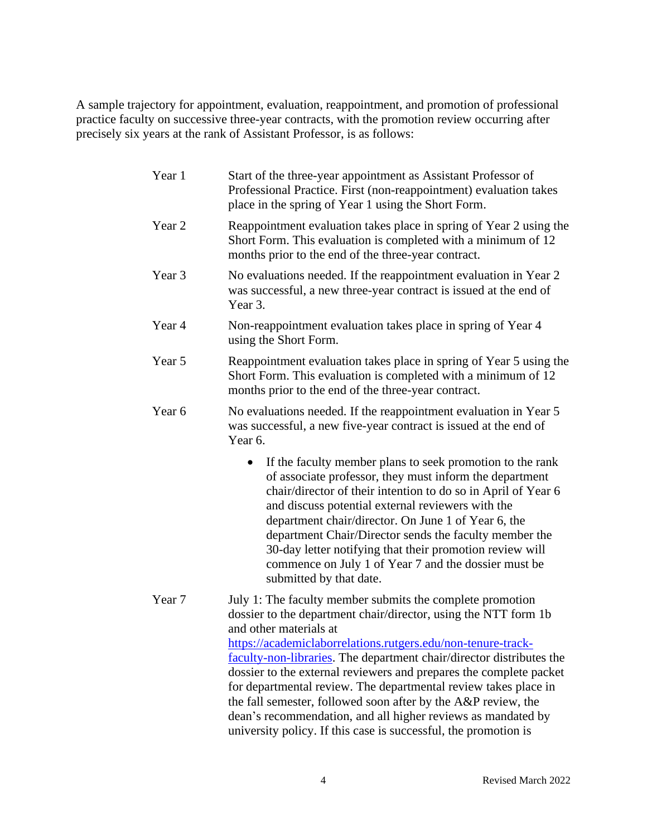A sample trajectory for appointment, evaluation, reappointment, and promotion of professional practice faculty on successive three-year contracts, with the promotion review occurring after precisely six years at the rank of Assistant Professor, is as follows:

| Year 1 | Start of the three-year appointment as Assistant Professor of<br>Professional Practice. First (non-reappointment) evaluation takes<br>place in the spring of Year 1 using the Short Form.                                                                                                                                                                                                                                                                                                                                                                                                                                                   |
|--------|---------------------------------------------------------------------------------------------------------------------------------------------------------------------------------------------------------------------------------------------------------------------------------------------------------------------------------------------------------------------------------------------------------------------------------------------------------------------------------------------------------------------------------------------------------------------------------------------------------------------------------------------|
| Year 2 | Reappointment evaluation takes place in spring of Year 2 using the<br>Short Form. This evaluation is completed with a minimum of 12<br>months prior to the end of the three-year contract.                                                                                                                                                                                                                                                                                                                                                                                                                                                  |
| Year 3 | No evaluations needed. If the reappointment evaluation in Year 2<br>was successful, a new three-year contract is issued at the end of<br>Year 3.                                                                                                                                                                                                                                                                                                                                                                                                                                                                                            |
| Year 4 | Non-reappointment evaluation takes place in spring of Year 4<br>using the Short Form.                                                                                                                                                                                                                                                                                                                                                                                                                                                                                                                                                       |
| Year 5 | Reappointment evaluation takes place in spring of Year 5 using the<br>Short Form. This evaluation is completed with a minimum of 12<br>months prior to the end of the three-year contract.                                                                                                                                                                                                                                                                                                                                                                                                                                                  |
| Year 6 | No evaluations needed. If the reappointment evaluation in Year 5<br>was successful, a new five-year contract is issued at the end of<br>Year 6.                                                                                                                                                                                                                                                                                                                                                                                                                                                                                             |
|        | If the faculty member plans to seek promotion to the rank<br>of associate professor, they must inform the department<br>chair/director of their intention to do so in April of Year 6<br>and discuss potential external reviewers with the<br>department chair/director. On June 1 of Year 6, the<br>department Chair/Director sends the faculty member the<br>30-day letter notifying that their promotion review will<br>commence on July 1 of Year 7 and the dossier must be<br>submitted by that date.                                                                                                                                  |
| Year 7 | July 1: The faculty member submits the complete promotion<br>dossier to the department chair/director, using the NTT form 1b<br>and other materials at<br>https://academiclaborrelations.rutgers.edu/non-tenure-track-<br>faculty-non-libraries. The department chair/director distributes the<br>dossier to the external reviewers and prepares the complete packet<br>for departmental review. The departmental review takes place in<br>the fall semester, followed soon after by the A&P review, the<br>dean's recommendation, and all higher reviews as mandated by<br>university policy. If this case is successful, the promotion is |